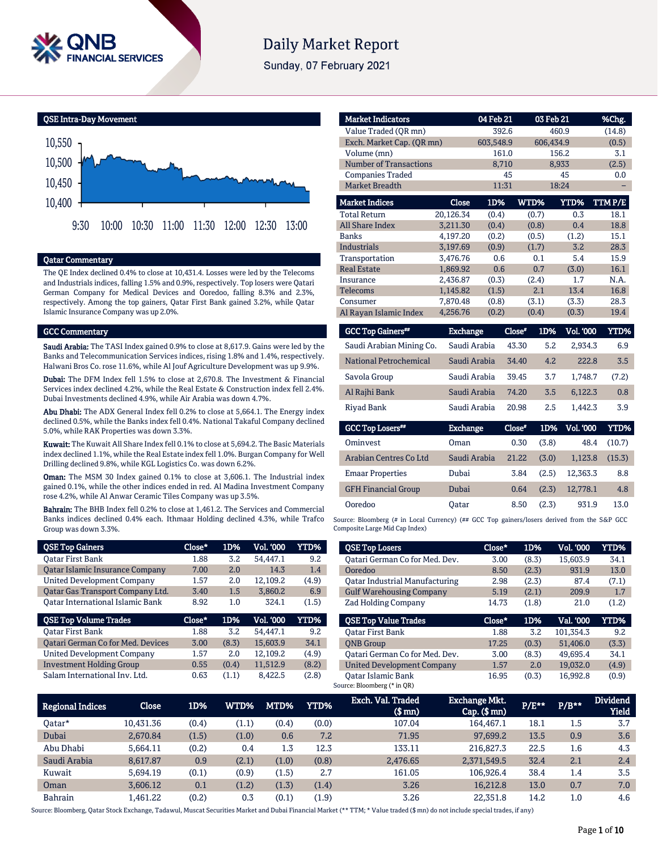

# **Daily Market Report**

Sunday, 07 February 2021

QSE Intra-Day Movement 10,400 10,450 10,500 10,550 9:30 10:00 10:30 11:00 11:30 12:00 12:30 13:00

# Qatar Commentary

The QE Index declined 0.4% to close at 10,431.4. Losses were led by the Telecoms and Industrials indices, falling 1.5% and 0.9%, respectively. Top losers were Qatari German Company for Medical Devices and Ooredoo, falling 8.3% and 2.3%, respectively. Among the top gainers, Qatar First Bank gained 3.2%, while Qatar Islamic Insurance Company was up 2.0%.

#### GCC Commentary

Saudi Arabia: The TASI Index gained 0.9% to close at 8,617.9. Gains were led by the Banks and Telecommunication Services indices, rising 1.8% and 1.4%, respectively. Halwani Bros Co. rose 11.6%, while Al Jouf Agriculture Development was up 9.9%.

Dubai: The DFM Index fell 1.5% to close at 2,670.8. The Investment & Financial Services index declined 4.2%, while the Real Estate & Construction index fell 2.4%. Dubai Investments declined 4.9%, while Air Arabia was down 4.7%.

Abu Dhabi: The ADX General Index fell 0.2% to close at 5,664.1. The Energy index declined 0.5%, while the Banks index fell 0.4%. National Takaful Company declined 5.0%, while RAK Properties was down 3.3%.

Kuwait: The Kuwait All Share Index fell 0.1% to close at 5,694.2. The Basic Materials index declined 1.1%, while the Real Estate index fell 1.0%. Burgan Company for Well Drilling declined 9.8%, while KGL Logistics Co. was down 6.2%.

Oman: The MSM 30 Index gained 0.1% to close at 3,606.1. The Industrial index gained 0.1%, while the other indices ended in red. Al Madina Investment Company rose 4.2%, while Al Anwar Ceramic Tiles Company was up 3.5%.

Bahrain: The BHB Index fell 0.2% to close at 1,461.2. The Services and Commercial Banks indices declined 0.4% each. Ithmaar Holding declined 4.3%, while Trafco Group was down 3.3%.

| <b>QSE Top Gainers</b>                 | Close* | 1D%   | Vol. '000 | YTD%  |
|----------------------------------------|--------|-------|-----------|-------|
| Oatar First Bank                       | 1.88   | 3.2   | 54,447.1  | 9.2   |
| <b>Qatar Islamic Insurance Company</b> | 7.00   | 2.0   | 14.3      | 1.4   |
| <b>United Development Company</b>      | 1.57   | 2.0   | 12,109.2  | (4.9) |
| Qatar Gas Transport Company Ltd.       | 3.40   | 1.5   | 3,860.2   | 6.9   |
| Oatar International Islamic Bank       | 8.92   | 1.0   | 324.1     | (1.5) |
|                                        |        |       |           |       |
| <b>QSE Top Volume Trades</b>           | Close* | 1D%   | Vol. '000 | YTD%  |
| <b>Oatar First Bank</b>                | 1.88   | 3.2   | 54,447.1  | 9.2   |
| Qatari German Co for Med. Devices      | 3.00   | (8.3) | 15,603.9  | 34.1  |
| <b>United Development Company</b>      | 1.57   | 2.0   | 12,109.2  | (4.9) |
| <b>Investment Holding Group</b>        | 0.55   | (0.4) | 11,512.9  | (8.2) |

| <b>Market Indicators</b>      |              | 04 Feb 21 |       | 03 Feb 21 | %Chg.  |
|-------------------------------|--------------|-----------|-------|-----------|--------|
| Value Traded (OR mn)          |              | 392.6     |       | 460.9     | (14.8) |
| Exch. Market Cap. (OR mn)     |              | 603,548.9 |       | 606,434.9 | (0.5)  |
| Volume (mn)                   |              | 161.0     |       | 156.2     | 3.1    |
| <b>Number of Transactions</b> |              | 8,710     |       | 8,933     | (2.5)  |
| <b>Companies Traded</b>       |              | 45        |       | 45        | 0.0    |
| Market Breadth                |              | 11:31     |       | 18:24     |        |
| <b>Market Indices</b>         | <b>Close</b> | 1D%       | WTD%  | YTD%      | TTMP/E |
| <b>Total Return</b>           | 20,126.34    | (0.4)     | (0.7) | 0.3       | 18.1   |
| <b>All Share Index</b>        | 3,211.30     | (0.4)     | (0.8) | 0.4       | 18.8   |
| <b>Banks</b>                  | 4.197.20     | (0.2)     | (0.5) | (1.2)     | 15.1   |
| <b>Industrials</b>            | 3,197.69     | (0.9)     | (1.7) | 3.2       | 28.3   |
| Transportation                | 3.476.76     | 0.6       | 0.1   | 5.4       | 15.9   |
| <b>Real Estate</b>            | 1,869.92     | 0.6       | 0.7   | (3.0)     | 16.1   |
| Insurance                     | 2,436.87     | (0.3)     | (2.4) | 1.7       | N.A.   |
| Telecoms                      | 1,145.82     | (1.5)     | 2.1   | 13.4      | 16.8   |
| Consumer                      | 7,870.48     | (0.8)     | (3.1) | (3.3)     | 28.3   |
| Al Rayan Islamic Index        | 4,256.76     | (0.2)     | (0.4) | (0.3)     | 19.4   |

| <b>GCC Top Gainers**</b>   | <b>Exchange</b> | Close" | 1D%   | Vol. '000        | <b>YTD%</b> |
|----------------------------|-----------------|--------|-------|------------------|-------------|
| Saudi Arabian Mining Co.   | Saudi Arabia    | 43.30  | 5.2   | 2,934.3          | 6.9         |
| National Petrochemical     | Saudi Arabia    | 34.40  | 4.2   | 222.8            | 3.5         |
| Savola Group               | Saudi Arabia    | 39.45  | 3.7   | 1,748.7          | (7.2)       |
| Al Rajhi Bank              | Saudi Arabia    | 74.20  | 3.5   | 6,122.3          | 0.8         |
| Riyad Bank                 | Saudi Arabia    | 20.98  | 2.5   | 1,442.3          | 3.9         |
|                            |                 |        |       |                  |             |
| <b>GCC Top Losers</b> "    | <b>Exchange</b> | Close" | 1D%   | <b>Vol. '000</b> | <b>YTD%</b> |
| Ominyest                   | Oman            | 0.30   | (3.8) | 48.4             | (10.7)      |
| Arabian Centres Co Ltd     | Saudi Arabia    | 21.22  | (3.0) | 1,123.8          | (15.3)      |
| <b>Emaar Properties</b>    | Dubai           | 3.84   | (2.5) | 12,363.3         | 8.8         |
| <b>GFH Financial Group</b> | Dubai           | 0.64   | (2.3) | 12,778.1         | 4.8         |

Source: Bloomberg (# in Local Currency) (## GCC Top gainers/losers derived from the S&P GCC Composite Large Mid Cap Index)

| <b>QSE Top Losers</b>                 | Close* | 1D%   | Vol. '000 | <b>YTD%</b> |
|---------------------------------------|--------|-------|-----------|-------------|
| Oatari German Co for Med. Dev.        | 3.00   | (8.3) | 15,603.9  | 34.1        |
| Ooredoo                               | 8.50   | (2.3) | 931.9     | 13.0        |
| <b>Oatar Industrial Manufacturing</b> | 2.98   | (2.3) | 87.4      | (7.1)       |
| <b>Gulf Warehousing Company</b>       | 5.19   | (2.1) | 209.9     | 1.7         |
| <b>Zad Holding Company</b>            | 14.73  | (1.8) | 21.0      | (1.2)       |
|                                       |        |       |           |             |
| <b>OSE Top Value Trades</b>           | Close* | 1D%   | Val. '000 | YTD%        |
| <b>Oatar First Bank</b>               | 1.88   | 3.2   | 101.354.3 | 9.2         |
| <b>ONB</b> Group                      | 17.25  | (0.3) | 51,406.0  | (3.3)       |
| Oatari German Co for Med. Dev.        | 3.00   | (8.3) | 49.695.4  | 34.1        |
| <b>United Development Company</b>     | 1.57   | 2.0   | 19,032.0  | (4.9)       |

| <b>Regional Indices</b> | <b>Close</b> | 1D%   | WTD%  | MTD%  | YTD%  | Exch. Val. Traded<br>$$$ mn $)$ | <b>Exchange Mkt.</b><br>$Cap.$ (\$ $mn$ ) | $P/E***$ | $P/B**$ | <b>Dividend</b><br><b>Yield</b> |
|-------------------------|--------------|-------|-------|-------|-------|---------------------------------|-------------------------------------------|----------|---------|---------------------------------|
| Oatar*                  | 10,431.36    | (0.4) | (1.1) | (0.4) | (0.0) | 107.04                          | 164.467.1                                 | 18.1     | 1.5     | 3.7                             |
| Dubai                   | 2.670.84     | (1.5) | (1.0) | 0.6   | 7.2   | 71.95                           | 97,699.2                                  | 13.5     | 0.9     | 3.6                             |
| Abu Dhabi               | 5.664.11     | (0.2) | 0.4   | 1.3   | 12.3  | 133.11                          | 216,827.3                                 | 22.5     | 1.6     | 4.3                             |
| Saudi Arabia            | 8,617.87     | 0.9   | (2.1) | (1.0) | (0.8) | 2,476.65                        | 2,371,549.5                               | 32.4     | 2.1     | 2.4                             |
| Kuwait                  | 5.694.19     | (0.1) | (0.9) | (1.5) | 2.7   | 161.05                          | 106.926.4                                 | 38.4     | 1.4     | 3.5                             |
| Oman                    | 3.606.12     | 0.1   | (1.2) | (1.3) | (1.4) | 3.26                            | 16.212.8                                  | 13.0     | 0.7     | 7.0                             |
| Bahrain                 | 1.461.22     | (0.2) | 0.3   | (0.1) | (1.9) | 3.26                            | 22.351.8                                  | 14.2     | $1.0\,$ | 4.6                             |

Source: Bloomberg, Qatar Stock Exchange, Tadawul, Muscat Securities Market and Dubai Financial Market (\*\* TTM; \* Value traded (\$ mn) do not include special trades, if any)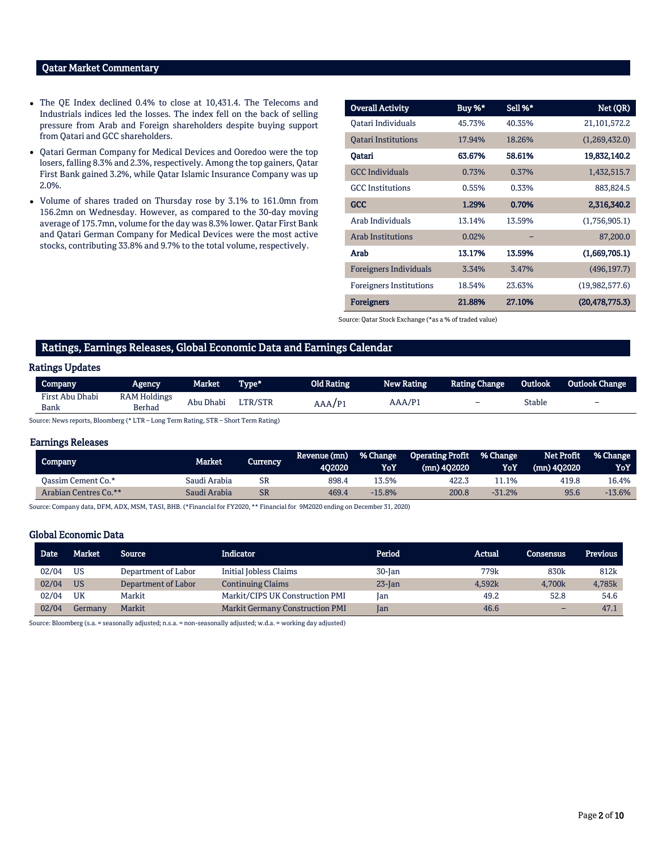# Qatar Market Commentary

- The QE Index declined 0.4% to close at 10,431.4. The Telecoms and Industrials indices led the losses. The index fell on the back of selling pressure from Arab and Foreign shareholders despite buying support from Qatari and GCC shareholders.
- Qatari German Company for Medical Devices and Ooredoo were the top losers, falling 8.3% and 2.3%, respectively. Among the top gainers, Qatar First Bank gained 3.2%, while Qatar Islamic Insurance Company was up 2.0%.
- Volume of shares traded on Thursday rose by 3.1% to 161.0mn from 156.2mn on Wednesday. However, as compared to the 30-day moving average of 175.7mn, volume for the day was 8.3% lower. Qatar First Bank and Qatari German Company for Medical Devices were the most active stocks, contributing 33.8% and 9.7% to the total volume, respectively.

| <b>Overall Activity</b>        | Buy %* | Sell %* | Net (QR)         |
|--------------------------------|--------|---------|------------------|
| Oatari Individuals             | 45.73% | 40.35%  | 21, 101, 572. 2  |
| <b>Oatari Institutions</b>     | 17.94% | 18.26%  | (1,269,432.0)    |
| Oatari                         | 63.67% | 58.61%  | 19,832,140.2     |
| <b>GCC Individuals</b>         | 0.73%  | 0.37%   | 1,432,515.7      |
| <b>GCC</b> Institutions        | 0.55%  | 0.33%   | 883,824.5        |
| GCC                            | 1.29%  | 0.70%   | 2,316,340.2      |
| Arab Individuals               | 13.14% | 13.59%  | (1,756,905.1)    |
| <b>Arab Institutions</b>       | 0.02%  |         | 87,200.0         |
| Arab                           | 13.17% | 13.59%  | (1,669,705.1)    |
| Foreigners Individuals         | 3.34%  | 3.47%   | (496, 197.7)     |
| <b>Foreigners Institutions</b> | 18.54% | 23.63%  | (19,982,577.6)   |
| <b>Foreigners</b>              | 21.88% | 27.10%  | (20, 478, 775.3) |

Source: Qatar Stock Exchange (\*as a % of traded value)

## Ratings, Earnings Releases, Global Economic Data and Earnings Calendar

#### Ratings Updates

| Company                        | Agency.                       | Market .  | Type*          | Old Rating | New Rating | <b>Rating Change</b> | Outlook | Outlook Change           |
|--------------------------------|-------------------------------|-----------|----------------|------------|------------|----------------------|---------|--------------------------|
| First Abu Dhabi<br><b>Bank</b> | <b>RAM Holdings</b><br>Berhad | Abu Dhabi | <b>LTR/STR</b> | AAA/P1     | $AA$ /P1   | -                    | Stable  | $\overline{\phantom{0}}$ |

Source: News reports, Bloomberg (\* LTR – Long Term Rating, STR – Short Term Rating)

### Earnings Releases

| Market |                              | YoY                | (mn) 402020 | YoY      | (mn) 402020 | YoY    |
|--------|------------------------------|--------------------|-------------|----------|-------------|--------|
| SR     | 898.4                        | !3.5%              | 422.3       | .1.1%    | 419.8       | 16.4%  |
| SR     | 469.4                        | $-15.8%$           | 200.8       | $-31.2%$ | 95.6        | -13.6% |
|        | Saudi Arabia<br>Saudi Arabia | Currency<br>402020 |             |          |             |        |

Source: Company data, DFM, ADX, MSM, TASI, BHB. (\*Financial for FY2020, \*\* Financial for 9M2020 ending on December 31, 2020)

# Global Economic Data

| <b>Date</b> | <b>Market</b> | Source              | Indicator                              | Period    | Actual | Consensus | <b>Previous</b> |
|-------------|---------------|---------------------|----------------------------------------|-----------|--------|-----------|-----------------|
| 02/04       | <b>US</b>     | Department of Labor | Initial Jobless Claims                 | $30$ -Jan | 779k   | 830k      | 812k            |
| 02/04       | <b>US</b>     | Department of Labor | <b>Continuing Claims</b>               | $23$ -Jan | 4.592k | 4.700k    | 4,785k          |
| 02/04       | UK            | Markit              | Markit/CIPS UK Construction PMI        | Jan       | 49.2   | 52.8      | 54.6            |
| 02/04       | Germany       | Markit              | <b>Markit Germany Construction PMI</b> | Jan       | 46.6   | -         | 47.1            |

Source: Bloomberg (s.a. = seasonally adjusted; n.s.a. = non-seasonally adjusted; w.d.a. = working day adjusted)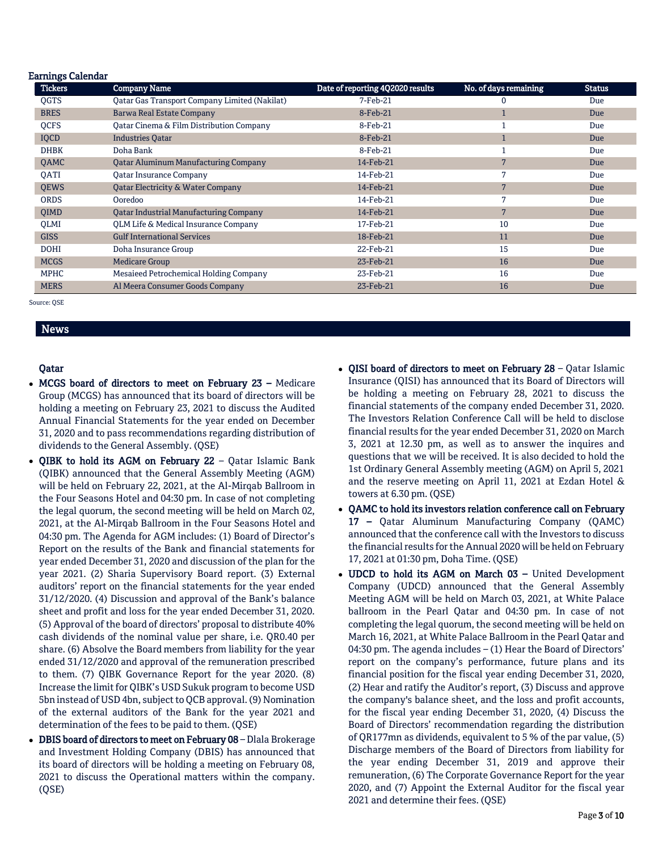| <b>Earnings Calendar</b> |                                                      |                                  |                       |               |
|--------------------------|------------------------------------------------------|----------------------------------|-----------------------|---------------|
| <b>Tickers</b>           | <b>Company Name</b>                                  | Date of reporting 4Q2020 results | No. of days remaining | <b>Status</b> |
| QGTS                     | <b>Qatar Gas Transport Company Limited (Nakilat)</b> | $7-Feb-21$                       | $\Omega$              | Due           |
| <b>BRES</b>              | <b>Barwa Real Estate Company</b>                     | 8-Feb-21                         | $\mathbf{1}$          | Due           |
| QCFS                     | Qatar Cinema & Film Distribution Company             | 8-Feb-21                         |                       | Due           |
| <b>IQCD</b>              | <b>Industries Oatar</b>                              | 8-Feb-21                         |                       | Due           |
| <b>DHBK</b>              | Doha Bank                                            | 8-Feb-21                         |                       | Due           |
| QAMC                     | <b>Qatar Aluminum Manufacturing Company</b>          | 14-Feb-21                        | 7                     | Due           |
| QATI                     | <b>Qatar Insurance Company</b>                       | 14-Feb-21                        | F.                    | Due           |
| <b>QEWS</b>              | <b>Qatar Electricity &amp; Water Company</b>         | 14-Feb-21                        | $\overline{7}$        | Due           |
| <b>ORDS</b>              | Ooredoo                                              | 14-Feb-21                        | π                     | Due           |
| QIMD                     | <b>Qatar Industrial Manufacturing Company</b>        | 14-Feb-21                        | 7                     | Due           |
| QLMI                     | QLM Life & Medical Insurance Company                 | 17-Feb-21                        | 10                    | Due           |
| <b>GISS</b>              | <b>Gulf International Services</b>                   | 18-Feb-21                        | 11                    | Due           |
| <b>DOHI</b>              | Doha Insurance Group                                 | 22-Feb-21                        | 15                    | Due           |
| <b>MCGS</b>              | <b>Medicare Group</b>                                | 23-Feb-21                        | 16                    | Due           |
| <b>MPHC</b>              | Mesaieed Petrochemical Holding Company               | 23-Feb-21                        | 16                    | Due           |
| <b>MERS</b>              | Al Meera Consumer Goods Company                      | 23-Feb-21                        | 16                    | Due           |

Source: QSE

# News

# Qatar

- MCGS board of directors to meet on February 23 Medicare Group (MCGS) has announced that its board of directors will be holding a meeting on February 23, 2021 to discuss the Audited Annual Financial Statements for the year ended on December 31, 2020 and to pass recommendations regarding distribution of dividends to the General Assembly. (QSE)
- QIBK to hold its AGM on February 22 Qatar Islamic Bank (QIBK) announced that the General Assembly Meeting (AGM) will be held on February 22, 2021, at the Al-Mirqab Ballroom in the Four Seasons Hotel and 04:30 pm. In case of not completing the legal quorum, the second meeting will be held on March 02, 2021, at the Al-Mirqab Ballroom in the Four Seasons Hotel and 04:30 pm. The Agenda for AGM includes: (1) Board of Director's Report on the results of the Bank and financial statements for year ended December 31, 2020 and discussion of the plan for the year 2021. (2) Sharia Supervisory Board report. (3) External auditors' report on the financial statements for the year ended 31/12/2020. (4) Discussion and approval of the Bank's balance sheet and profit and loss for the year ended December 31, 2020. (5) Approval of the board of directors' proposal to distribute 40% cash dividends of the nominal value per share, i.e. QR0.40 per share. (6) Absolve the Board members from liability for the year ended 31/12/2020 and approval of the remuneration prescribed to them. (7) QIBK Governance Report for the year 2020. (8) Increase the limit for QIBK's USD Sukuk program to become USD 5bn instead of USD 4bn, subject to QCB approval. (9) Nomination of the external auditors of the Bank for the year 2021 and determination of the fees to be paid to them. (QSE)
- DBIS board of directors to meet on February 08 Dlala Brokerage and Investment Holding Company (DBIS) has announced that its board of directors will be holding a meeting on February 08, 2021 to discuss the Operational matters within the company. (QSE)
- QISI board of directors to meet on February 28 Qatar Islamic Insurance (QISI) has announced that its Board of Directors will be holding a meeting on February 28, 2021 to discuss the financial statements of the company ended December 31, 2020. The Investors Relation Conference Call will be held to disclose financial results for the year ended December 31, 2020 on March 3, 2021 at 12.30 pm, as well as to answer the inquires and questions that we will be received. It is also decided to hold the 1st Ordinary General Assembly meeting (AGM) on April 5, 2021 and the reserve meeting on April 11, 2021 at Ezdan Hotel & towers at 6.30 pm. (QSE)
- QAMC to hold its investors relation conference call on February 17 – Qatar Aluminum Manufacturing Company (QAMC) announced that the conference call with the Investors to discuss the financial results for the Annual 2020 will be held on February 17, 2021 at 01:30 pm, Doha Time. (QSE)
- UDCD to hold its AGM on March 03 United Development Company (UDCD) announced that the General Assembly Meeting AGM will be held on March 03, 2021, at White Palace ballroom in the Pearl Qatar and 04:30 pm. In case of not completing the legal quorum, the second meeting will be held on March 16, 2021, at White Palace Ballroom in the Pearl Qatar and 04:30 pm. The agenda includes – (1) Hear the Board of Directors' report on the company's performance, future plans and its financial position for the fiscal year ending December 31, 2020, (2) Hear and ratify the Auditor's report, (3) Discuss and approve the company's balance sheet, and the loss and profit accounts, for the fiscal year ending December 31, 2020, (4) Discuss the Board of Directors' recommendation regarding the distribution of QR177mn as dividends, equivalent to 5 % of the par value, (5) Discharge members of the Board of Directors from liability for the year ending December 31, 2019 and approve their remuneration, (6) The Corporate Governance Report for the year 2020, and (7) Appoint the External Auditor for the fiscal year 2021 and determine their fees. (QSE)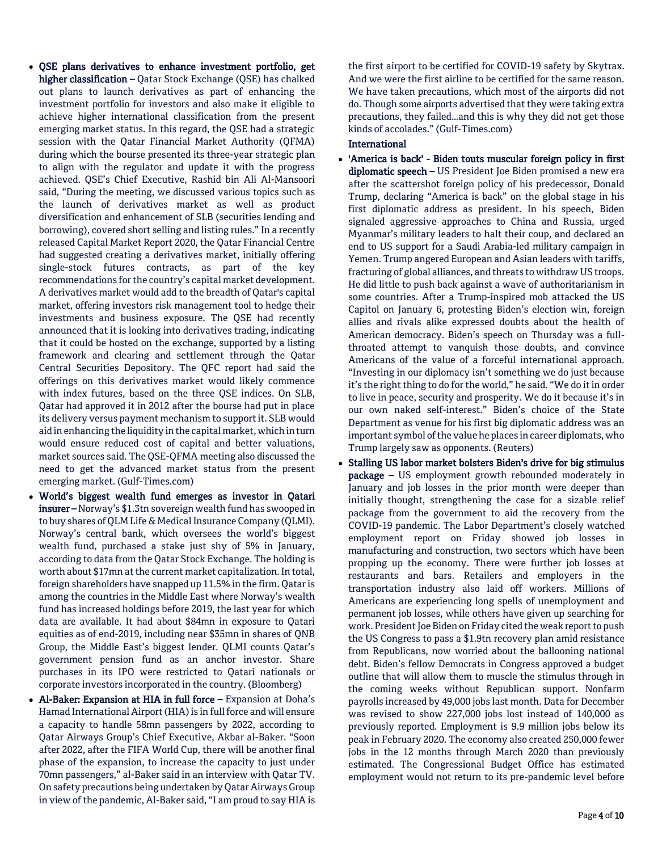- QSE plans derivatives to enhance investment portfolio, get higher classification – Qatar Stock Exchange (QSE) has chalked out plans to launch derivatives as part of enhancing the investment portfolio for investors and also make it eligible to achieve higher international classification from the present emerging market status. In this regard, the QSE had a strategic session with the Qatar Financial Market Authority (QFMA) during which the bourse presented its three-year strategic plan to align with the regulator and update it with the progress achieved. QSE's Chief Executive, Rashid bin Ali Al-Mansoori said, "During the meeting, we discussed various topics such as the launch of derivatives market as well as product diversification and enhancement of SLB (securities lending and borrowing), covered short selling and listing rules." In a recently released Capital Market Report 2020, the Qatar Financial Centre had suggested creating a derivatives market, initially offering single-stock futures contracts, as part of the key recommendations for the country's capital market development. A derivatives market would add to the breadth of Qatar's capital market, offering investors risk management tool to hedge their investments and business exposure. The QSE had recently announced that it is looking into derivatives trading, indicating that it could be hosted on the exchange, supported by a listing framework and clearing and settlement through the Qatar Central Securities Depository. The QFC report had said the offerings on this derivatives market would likely commence with index futures, based on the three QSE indices. On SLB, Qatar had approved it in 2012 after the bourse had put in place its delivery versus payment mechanism to support it. SLB would aid in enhancing the liquidity in the capital market, which in turn would ensure reduced cost of capital and better valuations, market sources said. The QSE-QFMA meeting also discussed the need to get the advanced market status from the present emerging market. (Gulf-Times.com)
- World's biggest wealth fund emerges as investor in Qatari insurer – Norway's \$1.3tn sovereign wealth fund has swooped in to buy shares of QLM Life & Medical Insurance Company (QLMI). Norway's central bank, which oversees the world's biggest wealth fund, purchased a stake just shy of 5% in January, according to data from the Qatar Stock Exchange. The holding is worth about \$17mn at the current market capitalization. In total, foreign shareholders have snapped up 11.5% in the firm. Qatar is among the countries in the Middle East where Norway's wealth fund has increased holdings before 2019, the last year for which data are available. It had about \$84mn in exposure to Qatari equities as of end-2019, including near \$35mn in shares of QNB Group, the Middle East's biggest lender. QLMI counts Qatar's government pension fund as an anchor investor. Share purchases in its IPO were restricted to Qatari nationals or corporate investors incorporated in the country. (Bloomberg)
- Al-Baker: Expansion at HIA in full force Expansion at Doha's Hamad International Airport (HIA) is in full force and will ensure a capacity to handle 58mn passengers by 2022, according to Qatar Airways Group's Chief Executive, Akbar al-Baker. "Soon after 2022, after the FIFA World Cup, there will be another final phase of the expansion, to increase the capacity to just under 70mn passengers," al-Baker said in an interview with Qatar TV. On safety precautions being undertaken by Qatar Airways Group in view of the pandemic, Al-Baker said, "I am proud to say HIA is

the first airport to be certified for COVID-19 safety by Skytrax. And we were the first airline to be certified for the same reason. We have taken precautions, which most of the airports did not do. Though some airports advertised that they were taking extra precautions, they failed…and this is why they did not get those kinds of accolades." (Gulf-Times.com)

# International

- 'America is back' Biden touts muscular foreign policy in first diplomatic speech - US President Joe Biden promised a new era after the scattershot foreign policy of his predecessor, Donald Trump, declaring "America is back" on the global stage in his first diplomatic address as president. In his speech, Biden signaled aggressive approaches to China and Russia, urged Myanmar's military leaders to halt their coup, and declared an end to US support for a Saudi Arabia-led military campaign in Yemen. Trump angered European and Asian leaders with tariffs, fracturing of global alliances, and threats to withdraw US troops. He did little to push back against a wave of authoritarianism in some countries. After a Trump-inspired mob attacked the US Capitol on January 6, protesting Biden's election win, foreign allies and rivals alike expressed doubts about the health of American democracy. Biden's speech on Thursday was a fullthroated attempt to vanquish those doubts, and convince Americans of the value of a forceful international approach. "Investing in our diplomacy isn't something we do just because it's the right thing to do for the world," he said. "We do it in order to live in peace, security and prosperity. We do it because it's in our own naked self-interest." Biden's choice of the State Department as venue for his first big diplomatic address was an important symbol of the value he places in career diplomats, who Trump largely saw as opponents. (Reuters)
- Stalling US labor market bolsters Biden's drive for big stimulus package - US employment growth rebounded moderately in January and job losses in the prior month were deeper than initially thought, strengthening the case for a sizable relief package from the government to aid the recovery from the COVID-19 pandemic. The Labor Department's closely watched employment report on Friday showed job losses in manufacturing and construction, two sectors which have been propping up the economy. There were further job losses at restaurants and bars. Retailers and employers in the transportation industry also laid off workers. Millions of Americans are experiencing long spells of unemployment and permanent job losses, while others have given up searching for work. President Joe Biden on Friday cited the weak report to push the US Congress to pass a \$1.9tn recovery plan amid resistance from Republicans, now worried about the ballooning national debt. Biden's fellow Democrats in Congress approved a budget outline that will allow them to muscle the stimulus through in the coming weeks without Republican support. Nonfarm payrolls increased by 49,000 jobs last month. Data for December was revised to show 227,000 jobs lost instead of 140,000 as previously reported. Employment is 9.9 million jobs below its peak in February 2020. The economy also created 250,000 fewer jobs in the 12 months through March 2020 than previously estimated. The Congressional Budget Office has estimated employment would not return to its pre-pandemic level before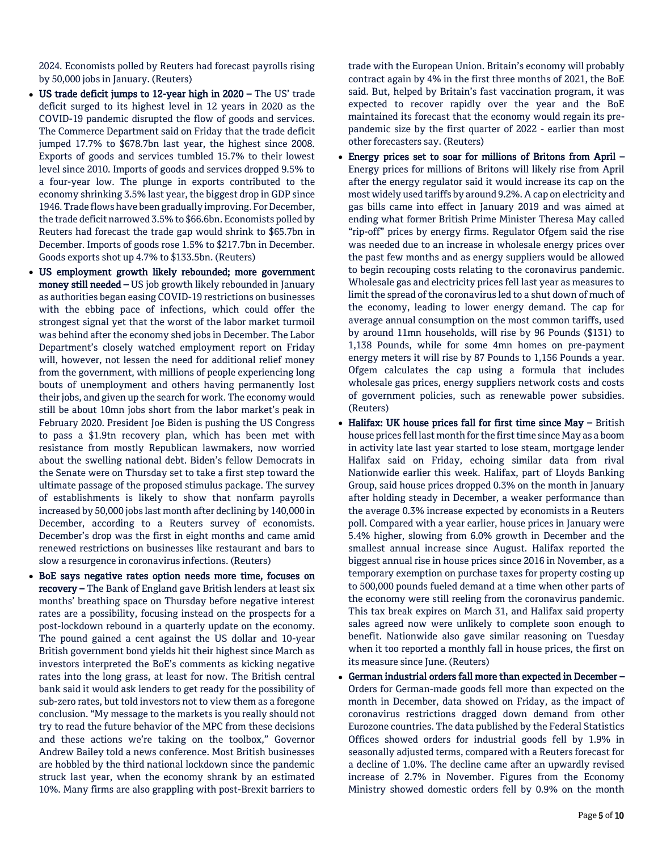2024. Economists polled by Reuters had forecast payrolls rising by 50,000 jobs in January. (Reuters)

- US trade deficit jumps to 12-year high in 2020 The US' trade deficit surged to its highest level in 12 years in 2020 as the COVID-19 pandemic disrupted the flow of goods and services. The Commerce Department said on Friday that the trade deficit jumped 17.7% to \$678.7bn last year, the highest since 2008. Exports of goods and services tumbled 15.7% to their lowest level since 2010. Imports of goods and services dropped 9.5% to a four-year low. The plunge in exports contributed to the economy shrinking 3.5% last year, the biggest drop in GDP since 1946. Trade flows have been gradually improving. For December, the trade deficit narrowed 3.5% to \$66.6bn. Economists polled by Reuters had forecast the trade gap would shrink to \$65.7bn in December. Imports of goods rose 1.5% to \$217.7bn in December. Goods exports shot up 4.7% to \$133.5bn. (Reuters)
- US employment growth likely rebounded; more government money still needed – US job growth likely rebounded in January as authorities began easing COVID-19 restrictions on businesses with the ebbing pace of infections, which could offer the strongest signal yet that the worst of the labor market turmoil was behind after the economy shed jobs in December. The Labor Department's closely watched employment report on Friday will, however, not lessen the need for additional relief money from the government, with millions of people experiencing long bouts of unemployment and others having permanently lost their jobs, and given up the search for work. The economy would still be about 10mn jobs short from the labor market's peak in February 2020. President Joe Biden is pushing the US Congress to pass a \$1.9tn recovery plan, which has been met with resistance from mostly Republican lawmakers, now worried about the swelling national debt. Biden's fellow Democrats in the Senate were on Thursday set to take a first step toward the ultimate passage of the proposed stimulus package. The survey of establishments is likely to show that nonfarm payrolls increased by 50,000 jobs last month after declining by 140,000 in December, according to a Reuters survey of economists. December's drop was the first in eight months and came amid renewed restrictions on businesses like restaurant and bars to slow a resurgence in coronavirus infections. (Reuters)
- BoE says negative rates option needs more time, focuses on recovery – The Bank of England gave British lenders at least six months' breathing space on Thursday before negative interest rates are a possibility, focusing instead on the prospects for a post-lockdown rebound in a quarterly update on the economy. The pound gained a cent against the US dollar and 10-year British government bond yields hit their highest since March as investors interpreted the BoE's comments as kicking negative rates into the long grass, at least for now. The British central bank said it would ask lenders to get ready for the possibility of sub-zero rates, but told investors not to view them as a foregone conclusion. "My message to the markets is you really should not try to read the future behavior of the MPC from these decisions and these actions we're taking on the toolbox," Governor Andrew Bailey told a news conference. Most British businesses are hobbled by the third national lockdown since the pandemic struck last year, when the economy shrank by an estimated 10%. Many firms are also grappling with post-Brexit barriers to

trade with the European Union. Britain's economy will probably contract again by 4% in the first three months of 2021, the BoE said. But, helped by Britain's fast vaccination program, it was expected to recover rapidly over the year and the BoE maintained its forecast that the economy would regain its prepandemic size by the first quarter of 2022 - earlier than most other forecasters say. (Reuters)

- Energy prices set to soar for millions of Britons from April Energy prices for millions of Britons will likely rise from April after the energy regulator said it would increase its cap on the most widely used tariffs by around 9.2%. A cap on electricity and gas bills came into effect in January 2019 and was aimed at ending what former British Prime Minister Theresa May called "rip-off" prices by energy firms. Regulator Ofgem said the rise was needed due to an increase in wholesale energy prices over the past few months and as energy suppliers would be allowed to begin recouping costs relating to the coronavirus pandemic. Wholesale gas and electricity prices fell last year as measures to limit the spread of the coronavirus led to a shut down of much of the economy, leading to lower energy demand. The cap for average annual consumption on the most common tariffs, used by around 11mn households, will rise by 96 Pounds (\$131) to 1,138 Pounds, while for some 4mn homes on pre-payment energy meters it will rise by 87 Pounds to 1,156 Pounds a year. Ofgem calculates the cap using a formula that includes wholesale gas prices, energy suppliers network costs and costs of government policies, such as renewable power subsidies. (Reuters)
- Halifax: UK house prices fall for first time since May British house prices fell last month for the first time since May as a boom in activity late last year started to lose steam, mortgage lender Halifax said on Friday, echoing similar data from rival Nationwide earlier this week. Halifax, part of Lloyds Banking Group, said house prices dropped 0.3% on the month in January after holding steady in December, a weaker performance than the average 0.3% increase expected by economists in a Reuters poll. Compared with a year earlier, house prices in January were 5.4% higher, slowing from 6.0% growth in December and the smallest annual increase since August. Halifax reported the biggest annual rise in house prices since 2016 in November, as a temporary exemption on purchase taxes for property costing up to 500,000 pounds fueled demand at a time when other parts of the economy were still reeling from the coronavirus pandemic. This tax break expires on March 31, and Halifax said property sales agreed now were unlikely to complete soon enough to benefit. Nationwide also gave similar reasoning on Tuesday when it too reported a monthly fall in house prices, the first on its measure since June. (Reuters)
- German industrial orders fall more than expected in December Orders for German-made goods fell more than expected on the month in December, data showed on Friday, as the impact of coronavirus restrictions dragged down demand from other Eurozone countries. The data published by the Federal Statistics Offices showed orders for industrial goods fell by 1.9% in seasonally adjusted terms, compared with a Reuters forecast for a decline of 1.0%. The decline came after an upwardly revised increase of 2.7% in November. Figures from the Economy Ministry showed domestic orders fell by 0.9% on the month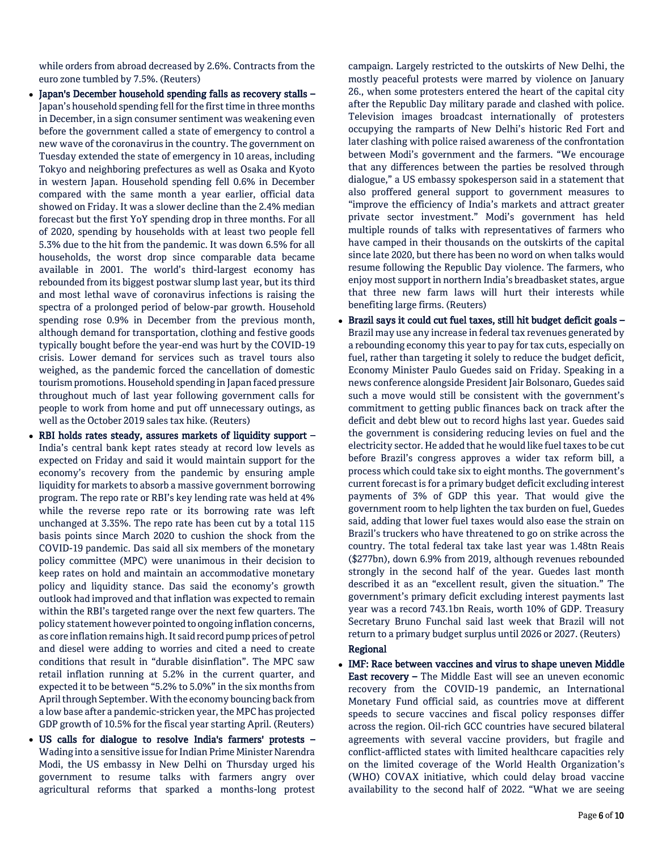while orders from abroad decreased by 2.6%. Contracts from the euro zone tumbled by 7.5%. (Reuters)

- Japan's December household spending falls as recovery stalls -Japan's household spending fell for the first time in three months in December, in a sign consumer sentiment was weakening even before the government called a state of emergency to control a new wave of the coronavirus in the country. The government on Tuesday extended the state of emergency in 10 areas, including Tokyo and neighboring prefectures as well as Osaka and Kyoto in western Japan. Household spending fell 0.6% in December compared with the same month a year earlier, official data showed on Friday. It was a slower decline than the 2.4% median forecast but the first YoY spending drop in three months. For all of 2020, spending by households with at least two people fell 5.3% due to the hit from the pandemic. It was down 6.5% for all households, the worst drop since comparable data became available in 2001. The world's third-largest economy has rebounded from its biggest postwar slump last year, but its third and most lethal wave of coronavirus infections is raising the spectra of a prolonged period of below-par growth. Household spending rose 0.9% in December from the previous month, although demand for transportation, clothing and festive goods typically bought before the year-end was hurt by the COVID-19 crisis. Lower demand for services such as travel tours also weighed, as the pandemic forced the cancellation of domestic tourism promotions. Household spending in Japan faced pressure throughout much of last year following government calls for people to work from home and put off unnecessary outings, as well as the October 2019 sales tax hike. (Reuters)
- RBI holds rates steady, assures markets of liquidity support India's central bank kept rates steady at record low levels as expected on Friday and said it would maintain support for the economy's recovery from the pandemic by ensuring ample liquidity for markets to absorb a massive government borrowing program. The repo rate or RBI's key lending rate was held at 4% while the reverse repo rate or its borrowing rate was left unchanged at 3.35%. The repo rate has been cut by a total 115 basis points since March 2020 to cushion the shock from the COVID-19 pandemic. Das said all six members of the monetary policy committee (MPC) were unanimous in their decision to keep rates on hold and maintain an accommodative monetary policy and liquidity stance. Das said the economy's growth outlook had improved and that inflation was expected to remain within the RBI's targeted range over the next few quarters. The policy statement however pointed to ongoing inflation concerns, as core inflation remains high. It said record pump prices of petrol and diesel were adding to worries and cited a need to create conditions that result in "durable disinflation". The MPC saw retail inflation running at 5.2% in the current quarter, and expected it to be between "5.2% to 5.0%" in the six months from April through September. With the economy bouncing back from a low base after a pandemic-stricken year, the MPC has projected GDP growth of 10.5% for the fiscal year starting April. (Reuters)
- US calls for dialogue to resolve India's farmers' protests Wading into a sensitive issue for Indian Prime Minister Narendra Modi, the US embassy in New Delhi on Thursday urged his government to resume talks with farmers angry over agricultural reforms that sparked a months-long protest

campaign. Largely restricted to the outskirts of New Delhi, the mostly peaceful protests were marred by violence on January 26., when some protesters entered the heart of the capital city after the Republic Day military parade and clashed with police. Television images broadcast internationally of protesters occupying the ramparts of New Delhi's historic Red Fort and later clashing with police raised awareness of the confrontation between Modi's government and the farmers. "We encourage that any differences between the parties be resolved through dialogue," a US embassy spokesperson said in a statement that also proffered general support to government measures to "improve the efficiency of India's markets and attract greater private sector investment." Modi's government has held multiple rounds of talks with representatives of farmers who have camped in their thousands on the outskirts of the capital since late 2020, but there has been no word on when talks would resume following the Republic Day violence. The farmers, who enjoy most support in northern India's breadbasket states, argue that three new farm laws will hurt their interests while benefiting large firms. (Reuters)

- Brazil says it could cut fuel taxes, still hit budget deficit goals Brazil may use any increase in federal tax revenues generated by a rebounding economy this year to pay for tax cuts, especially on fuel, rather than targeting it solely to reduce the budget deficit, Economy Minister Paulo Guedes said on Friday. Speaking in a news conference alongside President Jair Bolsonaro, Guedes said such a move would still be consistent with the government's commitment to getting public finances back on track after the deficit and debt blew out to record highs last year. Guedes said the government is considering reducing levies on fuel and the electricity sector. He added that he would like fuel taxes to be cut before Brazil's congress approves a wider tax reform bill, a process which could take six to eight months. The government's current forecast is for a primary budget deficit excluding interest payments of 3% of GDP this year. That would give the government room to help lighten the tax burden on fuel, Guedes said, adding that lower fuel taxes would also ease the strain on Brazil's truckers who have threatened to go on strike across the country. The total federal tax take last year was 1.48tn Reais (\$277bn), down 6.9% from 2019, although revenues rebounded strongly in the second half of the year. Guedes last month described it as an "excellent result, given the situation." The government's primary deficit excluding interest payments last year was a record 743.1bn Reais, worth 10% of GDP. Treasury Secretary Bruno Funchal said last week that Brazil will not return to a primary budget surplus until 2026 or 2027. (Reuters) Regional
- IMF: Race between vaccines and virus to shape uneven Middle East recovery – The Middle East will see an uneven economic recovery from the COVID-19 pandemic, an International Monetary Fund official said, as countries move at different speeds to secure vaccines and fiscal policy responses differ across the region. Oil-rich GCC countries have secured bilateral agreements with several vaccine providers, but fragile and conflict-afflicted states with limited healthcare capacities rely on the limited coverage of the World Health Organization's (WHO) COVAX initiative, which could delay broad vaccine availability to the second half of 2022. "What we are seeing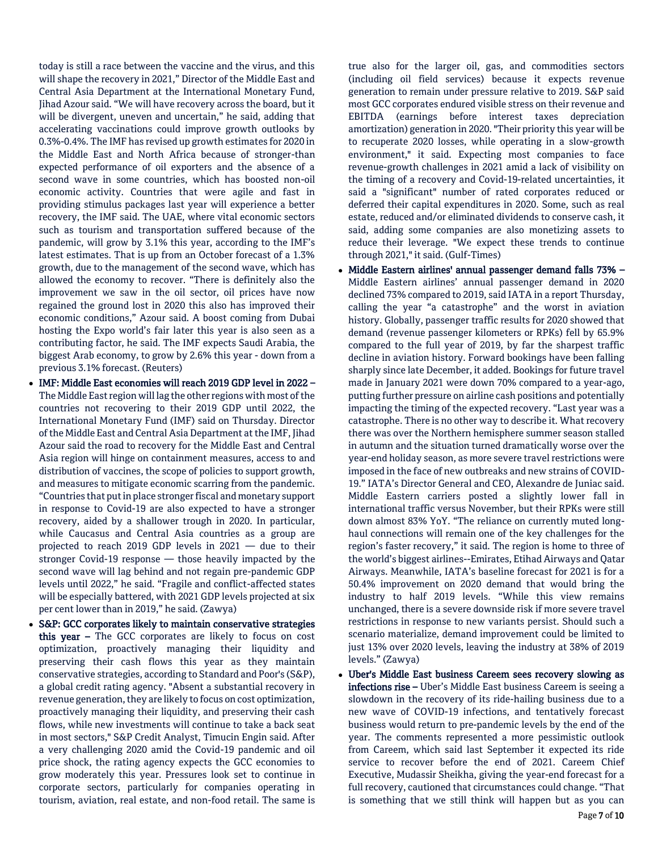today is still a race between the vaccine and the virus, and this will shape the recovery in 2021," Director of the Middle East and Central Asia Department at the International Monetary Fund, Jihad Azour said. "We will have recovery across the board, but it will be divergent, uneven and uncertain," he said, adding that accelerating vaccinations could improve growth outlooks by 0.3%-0.4%. The IMF has revised up growth estimates for 2020 in the Middle East and North Africa because of stronger-than expected performance of oil exporters and the absence of a second wave in some countries, which has boosted non-oil economic activity. Countries that were agile and fast in providing stimulus packages last year will experience a better recovery, the IMF said. The UAE, where vital economic sectors such as tourism and transportation suffered because of the pandemic, will grow by 3.1% this year, according to the IMF's latest estimates. That is up from an October forecast of a 1.3% growth, due to the management of the second wave, which has allowed the economy to recover. "There is definitely also the improvement we saw in the oil sector, oil prices have now regained the ground lost in 2020 this also has improved their economic conditions," Azour said. A boost coming from Dubai hosting the Expo world's fair later this year is also seen as a contributing factor, he said. The IMF expects Saudi Arabia, the biggest Arab economy, to grow by 2.6% this year - down from a previous 3.1% forecast. (Reuters)

- IMF: Middle East economies will reach 2019 GDP level in 2022 The Middle East region will lag the other regions with most of the countries not recovering to their 2019 GDP until 2022, the International Monetary Fund (IMF) said on Thursday. Director of the Middle East and Central Asia Department at the IMF, Jihad Azour said the road to recovery for the Middle East and Central Asia region will hinge on containment measures, access to and distribution of vaccines, the scope of policies to support growth, and measures to mitigate economic scarring from the pandemic. "Countries that put in place stronger fiscal and monetary support in response to Covid-19 are also expected to have a stronger recovery, aided by a shallower trough in 2020. In particular, while Caucasus and Central Asia countries as a group are projected to reach 2019 GDP levels in 2021 — due to their stronger Covid-19 response — those heavily impacted by the second wave will lag behind and not regain pre-pandemic GDP levels until 2022," he said. "Fragile and conflict-affected states will be especially battered, with 2021 GDP levels projected at six per cent lower than in 2019," he said. (Zawya)
- S&P: GCC corporates likely to maintain conservative strategies this year – The GCC corporates are likely to focus on cost optimization, proactively managing their liquidity and preserving their cash flows this year as they maintain conservative strategies, according to Standard and Poor's (S&P), a global credit rating agency. "Absent a substantial recovery in revenue generation, they are likely to focus on cost optimization, proactively managing their liquidity, and preserving their cash flows, while new investments will continue to take a back seat in most sectors," S&P Credit Analyst, Timucin Engin said. After a very challenging 2020 amid the Covid-19 pandemic and oil price shock, the rating agency expects the GCC economies to grow moderately this year. Pressures look set to continue in corporate sectors, particularly for companies operating in tourism, aviation, real estate, and non-food retail. The same is

true also for the larger oil, gas, and commodities sectors (including oil field services) because it expects revenue generation to remain under pressure relative to 2019. S&P said most GCC corporates endured visible stress on their revenue and EBITDA (earnings before interest taxes depreciation amortization) generation in 2020. "Their priority this year will be to recuperate 2020 losses, while operating in a slow-growth environment," it said. Expecting most companies to face revenue-growth challenges in 2021 amid a lack of visibility on the timing of a recovery and Covid-19-related uncertainties, it said a "significant" number of rated corporates reduced or deferred their capital expenditures in 2020. Some, such as real estate, reduced and/or eliminated dividends to conserve cash, it said, adding some companies are also monetizing assets to reduce their leverage. "We expect these trends to continue through 2021," it said. (Gulf-Times)

- Middle Eastern airlines' annual passenger demand falls 73% Middle Eastern airlines' annual passenger demand in 2020 declined 73% compared to 2019, said IATA in a report Thursday, calling the year "a catastrophe" and the worst in aviation history. Globally, passenger traffic results for 2020 showed that demand (revenue passenger kilometers or RPKs) fell by 65.9% compared to the full year of 2019, by far the sharpest traffic decline in aviation history. Forward bookings have been falling sharply since late December, it added. Bookings for future travel made in January 2021 were down 70% compared to a year-ago, putting further pressure on airline cash positions and potentially impacting the timing of the expected recovery. "Last year was a catastrophe. There is no other way to describe it. What recovery there was over the Northern hemisphere summer season stalled in autumn and the situation turned dramatically worse over the year-end holiday season, as more severe travel restrictions were imposed in the face of new outbreaks and new strains of COVID-19." IATA's Director General and CEO, Alexandre de Juniac said. Middle Eastern carriers posted a slightly lower fall in international traffic versus November, but their RPKs were still down almost 83% YoY. "The reliance on currently muted longhaul connections will remain one of the key challenges for the region's faster recovery," it said. The region is home to three of the world's biggest airlines--Emirates, Etihad Airways and Qatar Airways. Meanwhile, IATA's baseline forecast for 2021 is for a 50.4% improvement on 2020 demand that would bring the industry to half 2019 levels. "While this view remains unchanged, there is a severe downside risk if more severe travel restrictions in response to new variants persist. Should such a scenario materialize, demand improvement could be limited to just 13% over 2020 levels, leaving the industry at 38% of 2019 levels." (Zawya)
- Uber's Middle East business Careem sees recovery slowing as infections rise - Uber's Middle East business Careem is seeing a slowdown in the recovery of its ride-hailing business due to a new wave of COVID-19 infections, and tentatively forecast business would return to pre-pandemic levels by the end of the year. The comments represented a more pessimistic outlook from Careem, which said last September it expected its ride service to recover before the end of 2021. Careem Chief Executive, Mudassir Sheikha, giving the year-end forecast for a full recovery, cautioned that circumstances could change. "That is something that we still think will happen but as you can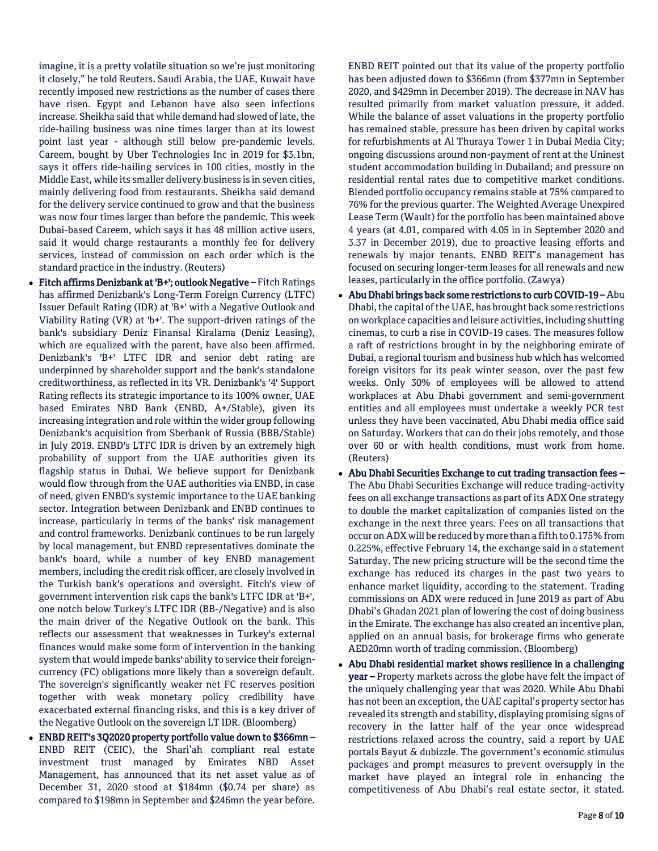imagine, it is a pretty volatile situation so we're just monitoring it closely," he told Reuters. Saudi Arabia, the UAE, Kuwait have recently imposed new restrictions as the number of cases there have risen. Egypt and Lebanon have also seen infections increase. Sheikha said that while demand had slowed of late, the ride-hailing business was nine times larger than at its lowest point last year - although still below pre-pandemic levels. Careem, bought by Uber Technologies Inc in 2019 for \$3.1bn, says it offers ride-hailing services in 100 cities, mostly in the Middle East, while its smaller delivery business is in seven cities, mainly delivering food from restaurants. Sheikha said demand for the delivery service continued to grow and that the business was now four times larger than before the pandemic. This week Dubai-based Careem, which says it has 48 million active users, said it would charge restaurants a monthly fee for delivery services, instead of commission on each order which is the standard practice in the industry. (Reuters)

- Fitch affirms Denizbank at 'B+'; outlook Negative Fitch Ratings has affirmed Denizbank's Long-Term Foreign Currency (LTFC) Issuer Default Rating (IDR) at 'B+' with a Negative Outlook and Viability Rating (VR) at 'b+'. The support-driven ratings of the bank's subsidiary Deniz Finansal Kiralama (Deniz Leasing), which are equalized with the parent, have also been affirmed. Denizbank's 'B+' LTFC IDR and senior debt rating are underpinned by shareholder support and the bank's standalone creditworthiness, as reflected in its VR. Denizbank's '4' Support Rating reflects its strategic importance to its 100% owner, UAE based Emirates NBD Bank (ENBD, A+/Stable), given its increasing integration and role within the wider group following Denizbank's acquisition from Sberbank of Russia (BBB/Stable) in July 2019. ENBD's LTFC IDR is driven by an extremely high probability of support from the UAE authorities given its flagship status in Dubai. We believe support for Denizbank would flow through from the UAE authorities via ENBD, in case of need, given ENBD's systemic importance to the UAE banking sector. Integration between Denizbank and ENBD continues to increase, particularly in terms of the banks' risk management and control frameworks. Denizbank continues to be run largely by local management, but ENBD representatives dominate the bank's board, while a number of key ENBD management members, including the credit risk officer, are closely involved in the Turkish bank's operations and oversight. Fitch's view of government intervention risk caps the bank's LTFC IDR at 'B+', one notch below Turkey's LTFC IDR (BB-/Negative) and is also the main driver of the Negative Outlook on the bank. This reflects our assessment that weaknesses in Turkey's external finances would make some form of intervention in the banking system that would impede banks' ability to service their foreigncurrency (FC) obligations more likely than a sovereign default. The sovereign's significantly weaker net FC reserves position together with weak monetary policy credibility have exacerbated external financing risks, and this is a key driver of the Negative Outlook on the sovereign LT IDR. (Bloomberg)
- ENBD REIT's 3Q2020 property portfolio value down to \$366mn ENBD REIT (CEIC), the Shari'ah compliant real estate investment trust managed by Emirates NBD Asset Management, has announced that its net asset value as of December 31, 2020 stood at \$184mn (\$0.74 per share) as compared to \$198mn in September and \$246mn the year before.

ENBD REIT pointed out that its value of the property portfolio has been adjusted down to \$366mn (from \$377mn in September 2020, and \$429mn in December 2019). The decrease in NAV has resulted primarily from market valuation pressure, it added. While the balance of asset valuations in the property portfolio has remained stable, pressure has been driven by capital works for refurbishments at Al Thuraya Tower 1 in Dubai Media City; ongoing discussions around non-payment of rent at the Uninest student accommodation building in Dubailand; and pressure on residential rental rates due to competitive market conditions. Blended portfolio occupancy remains stable at 75% compared to 76% for the previous quarter. The Weighted Average Unexpired Lease Term (Wault) for the portfolio has been maintained above 4 years (at 4.01, compared with 4.05 in in September 2020 and 3.37 in December 2019), due to proactive leasing efforts and renewals by major tenants. ENBD REIT's management has focused on securing longer-term leases for all renewals and new leases, particularly in the office portfolio. (Zawya)

- Abu Dhabi brings back some restrictions to curb COVID-19 Abu Dhabi, the capital of the UAE, has brought back some restrictions on workplace capacities and leisure activities, including shutting cinemas, to curb a rise in COVID-19 cases. The measures follow a raft of restrictions brought in by the neighboring emirate of Dubai, a regional tourism and business hub which has welcomed foreign visitors for its peak winter season, over the past few weeks. Only 30% of employees will be allowed to attend workplaces at Abu Dhabi government and semi-government entities and all employees must undertake a weekly PCR test unless they have been vaccinated, Abu Dhabi media office said on Saturday. Workers that can do their jobs remotely, and those over 60 or with health conditions, must work from home. (Reuters)
- Abu Dhabi Securities Exchange to cut trading transaction fees The Abu Dhabi Securities Exchange will reduce trading-activity fees on all exchange transactions as part of its ADX One strategy to double the market capitalization of companies listed on the exchange in the next three years. Fees on all transactions that occur on ADX will be reduced by more than a fifth to 0.175% from 0.225%, effective February 14, the exchange said in a statement Saturday. The new pricing structure will be the second time the exchange has reduced its charges in the past two years to enhance market liquidity, according to the statement. Trading commissions on ADX were reduced in June 2019 as part of Abu Dhabi's Ghadan 2021 plan of lowering the cost of doing business in the Emirate. The exchange has also created an incentive plan, applied on an annual basis, for brokerage firms who generate AED20mn worth of trading commission. (Bloomberg)
- Abu Dhabi residential market shows resilience in a challenging year - Property markets across the globe have felt the impact of the uniquely challenging year that was 2020. While Abu Dhabi has not been an exception, the UAE capital's property sector has revealed its strength and stability, displaying promising signs of recovery in the latter half of the year once widespread restrictions relaxed across the country, said a report by UAE portals Bayut & dubizzle. The government's economic stimulus packages and prompt measures to prevent oversupply in the market have played an integral role in enhancing the competitiveness of Abu Dhabi's real estate sector, it stated.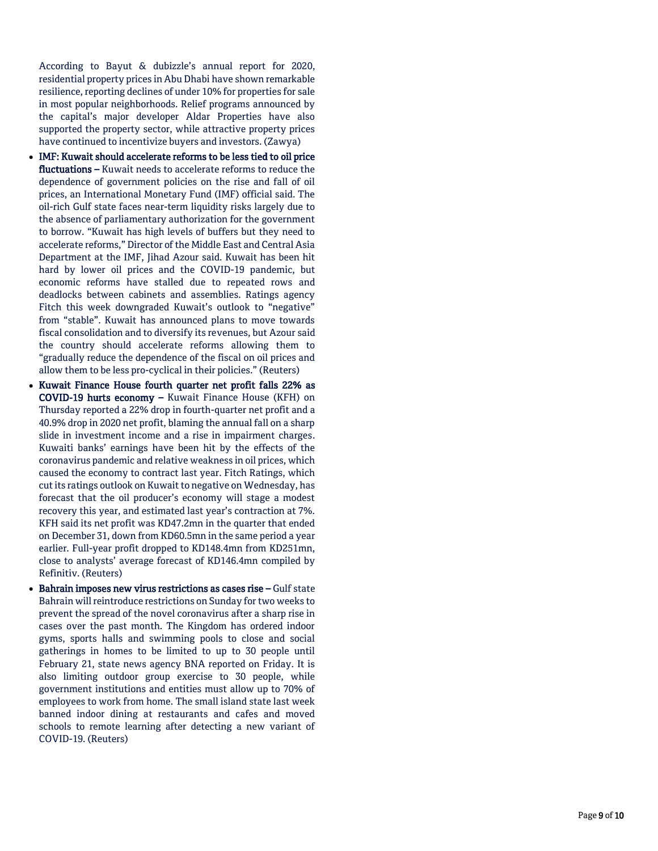According to Bayut & dubizzle's annual report for 2020, residential property prices in Abu Dhabi have shown remarkable resilience, reporting declines of under 10% for properties for sale in most popular neighborhoods. Relief programs announced by the capital's major developer Aldar Properties have also supported the property sector, while attractive property prices have continued to incentivize buyers and investors. (Zawya)

- IMF: Kuwait should accelerate reforms to be less tied to oil price **fluctuations –** Kuwait needs to accelerate reforms to reduce the dependence of government policies on the rise and fall of oil prices, an International Monetary Fund (IMF) official said. The oil -rich Gulf state faces near -term liquidity risks largely due to the absence of parliamentary authorization for the government to borrow. "Kuwait has high levels of buffers but they need to accelerate reforms," Director of the Middle East and Central Asia Department at the IMF, Jihad Azour said. Kuwait has been hit hard by lower oil prices and the COVID -19 pandemic, but economic reforms have stalled due to repeated rows and deadlocks between cabinets and assemblies. Ratings agency Fitch this week downgraded Kuwait's outlook to "negative" from "stable". Kuwait has announced plans to move towards fiscal consolidation and to diversify its revenues, but Azour said the country should accelerate reforms allowing them to "gradually reduce the dependence of the fiscal on oil prices and allow them to be less pro -cyclical in their policies." (Reuters)
- Kuwait Finance House fourth quarter net profit falls 22% as COVID -19 hurts economy – Kuwait Finance House (KFH) on Thursday reported a 22% drop in fourth -quarter net profit and a 40.9% drop in 2020 net profit, blaming the annual fall on a sharp slide in investment income and a rise in impairment charges. Kuwaiti banks' earnings have been hit by the effects of the coronavirus pandemic and relative weakness in oil prices, which caused the economy to contract last year. Fitch Ratings, which cut its ratings outlook on Kuwait to negative on Wednesday, has forecast that the oil producer's economy will stage a modest recovery this year, and estimated last year's contraction at 7%. KFH said its net profit was KD47.2mn in the quarter that ended on December 31, down from KD60.5mn in the same period a year earlier. Full -year profit dropped to KD148.4mn from KD251mn, close to analysts' average forecast of KD146.4mn compiled by Refinitiv. (Reuters)
- Bahrain imposes new virus restrictions as cases rise Gulf state Bahrain will reintroduce restrictions on Sunday for two weeks to prevent the spread of the novel coronavirus after a sharp rise in cases over the past month. The Kingdom has ordered indoor gyms, sports halls and swimming pools to close and social gatherings in homes to be limited to up to 30 people until February 21, state news agency BNA reported on Friday. It is also limiting outdoor group exercise to 30 people, while government institutions and entities must allow up to 70% of employees to work from home. The small island state last week banned indoor dining at restaurants and cafes and moved schools to remote learning after detecting a new variant of COVID -19. (Reuters)